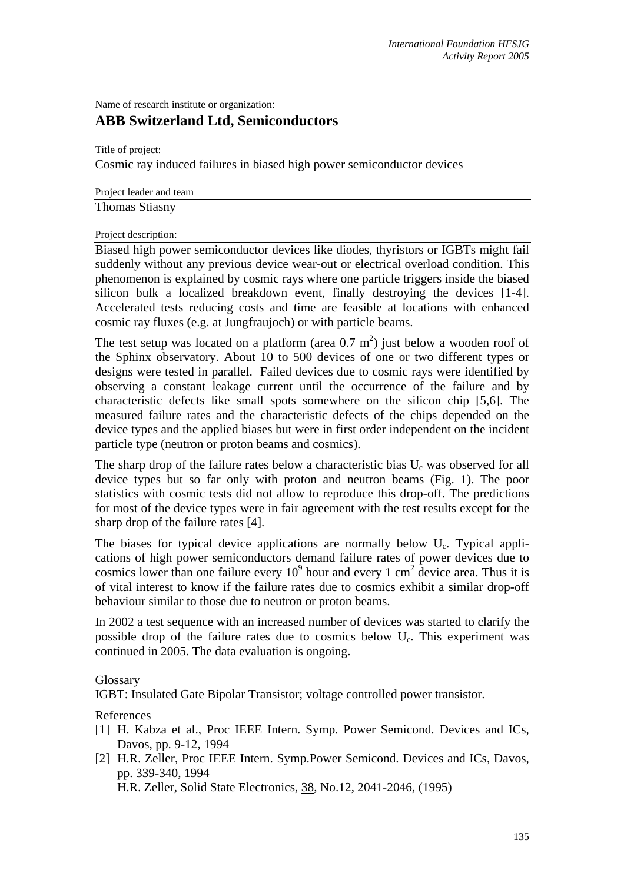Name of research institute or organization:

## **ABB Switzerland Ltd, Semiconductors**

Title of project:

Cosmic ray induced failures in biased high power semiconductor devices

Project leader and team

Thomas Stiasny

Project description:

Biased high power semiconductor devices like diodes, thyristors or IGBTs might fail suddenly without any previous device wear-out or electrical overload condition. This phenomenon is explained by cosmic rays where one particle triggers inside the biased silicon bulk a localized breakdown event, finally destroying the devices [1-4]. Accelerated tests reducing costs and time are feasible at locations with enhanced cosmic ray fluxes (e.g. at Jungfraujoch) or with particle beams.

The test setup was located on a platform (area  $0.7 \text{ m}^2$ ) just below a wooden roof of the Sphinx observatory. About 10 to 500 devices of one or two different types or designs were tested in parallel. Failed devices due to cosmic rays were identified by observing a constant leakage current until the occurrence of the failure and by characteristic defects like small spots somewhere on the silicon chip [5,6]. The measured failure rates and the characteristic defects of the chips depended on the device types and the applied biases but were in first order independent on the incident particle type (neutron or proton beams and cosmics).

The sharp drop of the failure rates below a characteristic bias  $U_c$  was observed for all device types but so far only with proton and neutron beams (Fig. 1). The poor statistics with cosmic tests did not allow to reproduce this drop-off. The predictions for most of the device types were in fair agreement with the test results except for the sharp drop of the failure rates [4].

The biases for typical device applications are normally below  $U_c$ . Typical applications of high power semiconductors demand failure rates of power devices due to cosmics lower than one failure every  $10^9$  hour and every 1 cm<sup>2</sup> device area. Thus it is of vital interest to know if the failure rates due to cosmics exhibit a similar drop-off behaviour similar to those due to neutron or proton beams.

In 2002 a test sequence with an increased number of devices was started to clarify the possible drop of the failure rates due to cosmics below  $U_c$ . This experiment was continued in 2005. The data evaluation is ongoing.

Glossary

IGBT: Insulated Gate Bipolar Transistor; voltage controlled power transistor.

References

- [1] H. Kabza et al., Proc IEEE Intern. Symp. Power Semicond. Devices and ICs, Davos, pp. 9-12, 1994
- [2] H.R. Zeller, Proc IEEE Intern. Symp.Power Semicond. Devices and ICs, Davos, pp. 339-340, 1994

H.R. Zeller, Solid State Electronics, 38, No.12, 2041-2046, (1995)